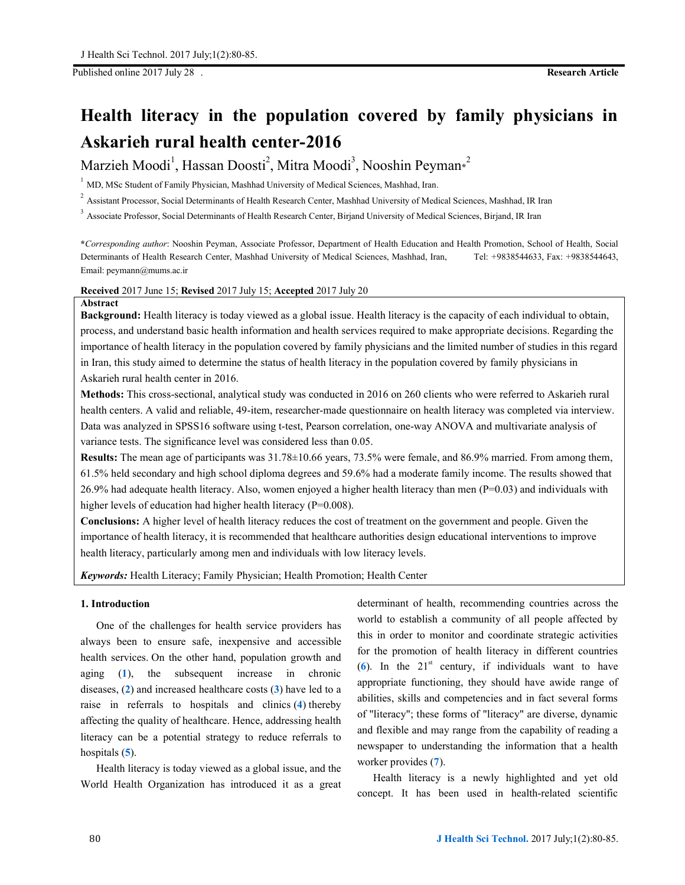Published online 2017 July 28 . **Research Article**

# **Health literacy in the population covered by family physicians in Askarieh rural health center-2016**

 $\text{Marzieh Moodi}^1, \text{Hassan Doosti}^2, \text{Mitra Moodi}^3, \text{Nooshin Peyman*}^2$ 

 $1$  MD, MSc Student of Family Physician, Mashhad University of Medical Sciences, Mashhad, Iran.

<sup>2</sup> Assistant Processor, Social Determinants of Health Research Center, Mashhad University of Medical Sciences, Mashhad, IR Iran

<sup>3</sup> Associate Professor, Social Determinants of Health Research Center, Birjand University of Medical Sciences, Birjand, IR Iran

**\****Corresponding author*: Nooshin Peyman, Associate Professor, Department of Health Education and Health Promotion, School of Health, Social Determinants of Health Research Center, Mashhad University of Medical Sciences, Mashhad, Iran, Tel: +9838544633, Fax: +9838544643, Email: peymann@mums.ac.ir

# **Received** 2017 June 15; **Revised** 2017 July 15; **Accepted** 2017 July 20

#### **Abstract**

**Background:** Health literacy is today viewed as a global issue. Health literacy is the capacity of each individual to obtain, process, and understand basic health information and health services required to make appropriate decisions. Regarding the importance of health literacy in the population covered by family physicians and the limited number of studies in this regard in Iran, this study aimed to determine the status of health literacy in the population covered by family physicians in Askarieh rural health center in 2016.

**Methods:** This cross-sectional, analytical study was conducted in 2016 on 260 clients who were referred to Askarieh rural health centers. A valid and reliable, 49-item, researcher-made questionnaire on health literacy was completed via interview. Data was analyzed in SPSS16 software using t-test, Pearson correlation, one-way ANOVA and multivariate analysis of variance tests. The significance level was considered less than 0.05.

**Results:** The mean age of participants was 31.78±10.66 years, 73.5% were female, and 86.9% married. From among them, 61.5% held secondary and high school diploma degrees and 59.6% had a moderate family income. The results showed that  $26.9\%$  had adequate health literacy. Also, women enjoyed a higher health literacy than men ( $P=0.03$ ) and individuals with higher levels of education had higher health literacy (P=0.008).

**Conclusions:** A higher level of health literacy reduces the cost of treatment on the government and people. Given the importance of health literacy, it is recommended that healthcare authorities design educational interventions to improve health literacy, particularly among men and individuals with low literacy levels.

*Keywords:* Health Literacy; Family Physician; Health Promotion; Health Center

# **1. Introduction**

One of the challenges for health service providers has always been to ensure safe, inexpensive and accessible health services. On the other hand, population growth and aging (**1**), the subsequent increase in chronic diseases, (**2**) and increased healthcare costs (**3**) have led to a raise in referrals to hospitals and clinics (**4**) thereby affecting the quality of healthcare. Hence, addressing health literacy can be a potential strategy to reduce referrals to hospitals (**5**).

Health literacy is today viewed as a global issue, and the World Health Organization has introduced it as a great determinant of health, recommending countries across the world to establish a community of all people affected by this in order to monitor and coordinate strategic activities for the promotion of health literacy in different countries  $(6)$ . In the 21<sup>st</sup> century, if individuals want to have appropriate functioning, they should have awide range of abilities, skills and competencies and in fact several forms of "literacy"; these forms of "literacy" are diverse, dynamic and flexible and may range from the capability of reading a newspaper to understanding the information that a health worker provides (**7**).

Health literacy is a newly highlighted and yet old concept. It has been used in health-related scientific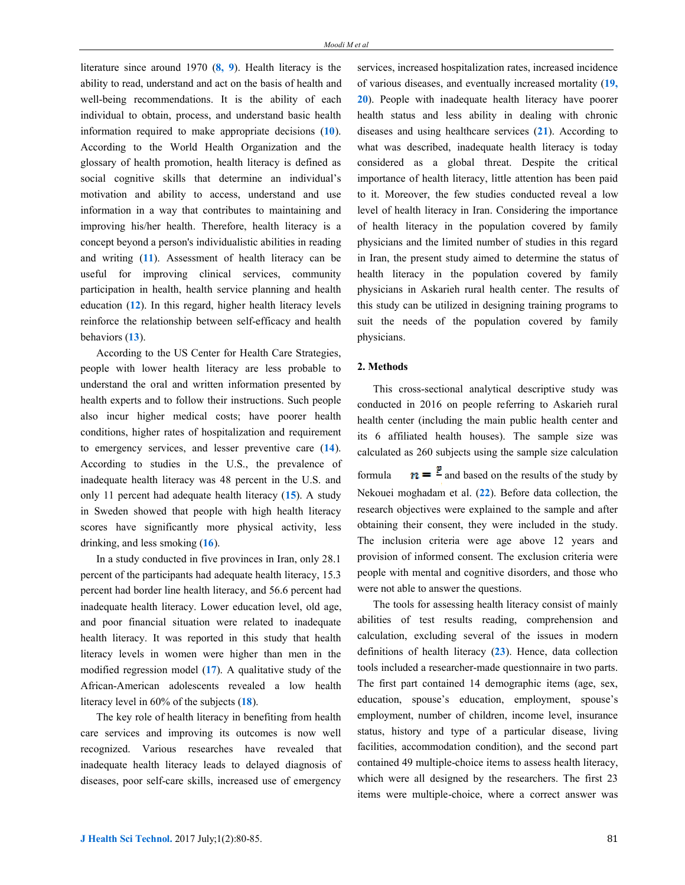literature since around 1970 (**8, 9**). Health literacy is the ability to read, understand and act on the basis of health and well-being recommendations. It is the ability of each individual to obtain, process, and understand basic health information required to make appropriate decisions (**10**). According to the World Health Organization and the glossary of health promotion, health literacy is defined as social cognitive skills that determine an individual's motivation and ability to access, understand and use information in a way that contributes to maintaining and improving his/her health. Therefore, health literacy is a concept beyond a person's individualistic abilities in reading and writing (**11**). Assessment of health literacy can be useful for improving clinical services, community participation in health, health service planning and health education (**12**). In this regard, higher health literacy levels reinforce the relationship between self-efficacy and health behaviors (**13**).

According to the US Center for Health Care Strategies, people with lower health literacy are less probable to understand the oral and written information presented by health experts and to follow their instructions. Such people also incur higher medical costs; have poorer health conditions, higher rates of hospitalization and requirement to emergency services, and lesser preventive care (**14**). According to studies in the U.S., the prevalence of inadequate health literacy was 48 percent in the U.S. and only 11 percent had adequate health literacy (**15**). A study in Sweden showed that people with high health literacy scores have significantly more physical activity, less drinking, and less smoking (**16**).

In a study conducted in five provinces in Iran, only 28.1 percent of the participants had adequate health literacy, 15.3 percent had border line health literacy, and 56.6 percent had inadequate health literacy. Lower education level, old age, and poor financial situation were related to inadequate health literacy. It was reported in this study that health literacy levels in women were higher than men in the modified regression model (**17**). A qualitative study of the African-American adolescents revealed a low health literacy level in 60% of the subjects (**18**).

The key role of health literacy in benefiting from health care services and improving its outcomes is now well recognized. Various researches have revealed that inadequate health literacy leads to delayed diagnosis of diseases, poor self-care skills, increased use of emergency

services, increased hospitalization rates, increased incidence of various diseases, and eventually increased mortality (**19, 20**). People with inadequate health literacy have poorer health status and less ability in dealing with chronic diseases and using healthcare services (**21**). According to what was described, inadequate health literacy is today considered as a global threat. Despite the critical importance of health literacy, little attention has been paid to it. Moreover, the few studies conducted reveal a low level of health literacy in Iran. Considering the importance of health literacy in the population covered by family physicians and the limited number of studies in this regard in Iran, the present study aimed to determine the status of health literacy in the population covered by family physicians in Askarieh rural health center. The results of this study can be utilized in designing training programs to suit the needs of the population covered by family physicians.

## **2. Methods**

This cross-sectional analytical descriptive study was conducted in 2016 on people referring to Askarieh rural health center (including the main public health center and its 6 affiliated health houses). The sample size was calculated as 260 subjects using the sample size calculation formula  $n = \frac{p}{n}$  and based on the results of the study by Nekouei moghadam et al. (**22**). Before data collection, the research objectives were explained to the sample and after obtaining their consent, they were included in the study. The inclusion criteria were age above 12 years and provision of informed consent. The exclusion criteria were

people with mental and cognitive disorders, and those who

were not able to answer the questions.

The tools for assessing health literacy consist of mainly abilities of test results reading, comprehension and calculation, excluding several of the issues in modern definitions of health literacy (**23**). Hence, data collection tools included a researcher-made questionnaire in two parts. The first part contained 14 demographic items (age, sex, education, spouse's education, employment, spouse's employment, number of children, income level, insurance status, history and type of a particular disease, living facilities, accommodation condition), and the second part contained 49 multiple-choice items to assess health literacy, which were all designed by the researchers. The first 23 items were multiple-choice, where a correct answer was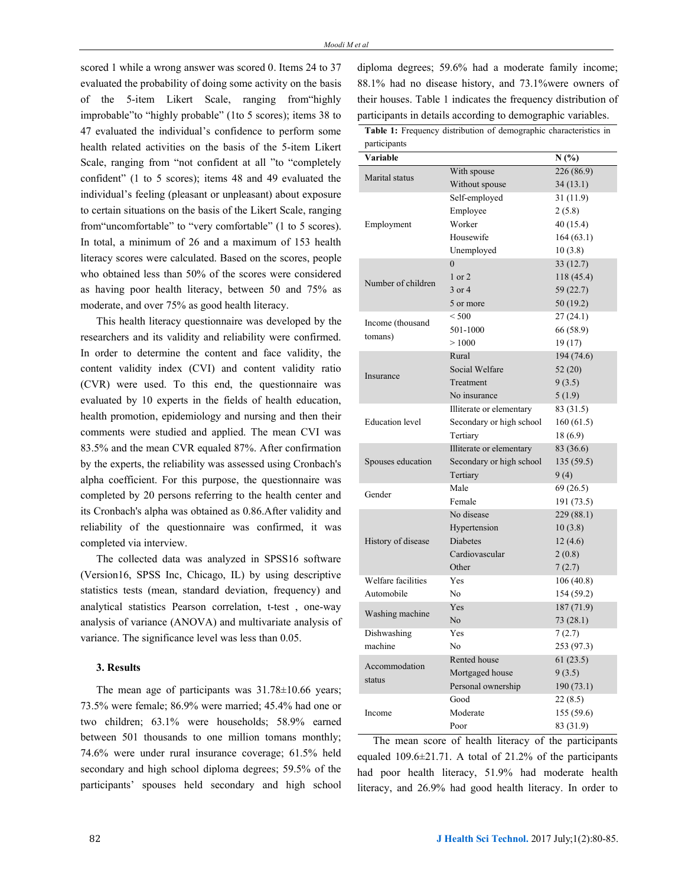scored 1 while a wrong answer was scored 0. Items 24 to 37 evaluated the probability of doing some activity on the basis of the 5-item Likert Scale, ranging from"highly improbable"to "highly probable" (1to 5 scores); items 38 to 47 evaluated the individual's confidence to perform some health related activities on the basis of the 5-item Likert Scale, ranging from "not confident at all "to "completely confident" (1 to 5 scores); items 48 and 49 evaluated the individual's feeling (pleasant or unpleasant) about exposure to certain situations on the basis of the Likert Scale, ranging from"uncomfortable" to "very comfortable" (1 to 5 scores). In total, a minimum of 26 and a maximum of 153 health literacy scores were calculated. Based on the scores, people who obtained less than 50% of the scores were considered as having poor health literacy, between 50 and 75% as moderate, and over 75% as good health literacy.

This health literacy questionnaire was developed by the researchers and its validity and reliability were confirmed. In order to determine the content and face validity, the content validity index (CVI) and content validity ratio (CVR) were used. To this end, the questionnaire was evaluated by 10 experts in the fields of health education, health promotion, epidemiology and nursing and then their comments were studied and applied. The mean CVI was 83.5% and the mean CVR equaled 87%. After confirmation by the experts, the reliability was assessed using Cronbach's alpha coefficient. For this purpose, the questionnaire was completed by 20 persons referring to the health center and its Cronbach's alpha was obtained as 0.86.After validity and reliability of the questionnaire was confirmed, it was completed via interview.

The collected data was analyzed in SPSS16 software (Version16, SPSS Inc, Chicago, IL) by using descriptive statistics tests (mean, standard deviation, frequency) and analytical statistics Pearson correlation, t-test , one-way analysis of variance (ANOVA) and multivariate analysis of variance. The significance level was less than 0.05.

#### **3. Results**

The mean age of participants was  $31.78 \pm 10.66$  years; 73.5% were female; 86.9% were married; 45.4% had one or two children; 63.1% were households; 58.9% earned between 501 thousands to one million tomans monthly; 74.6% were under rural insurance coverage; 61.5% held secondary and high school diploma degrees; 59.5% of the participants' spouses held secondary and high school diploma degrees; 59.6% had a moderate family income; 88.1% had no disease history, and 73.1%were owners of their houses. Table 1 indicates the frequency distribution of participants in details according to demographic variables.

Table 1: Frequency distribution of demographic characteristics in participants

| participants           |                          |            |  |  |  |  |
|------------------------|--------------------------|------------|--|--|--|--|
| Variable               |                          | N(%)       |  |  |  |  |
| Marital status         | With spouse              | 226 (86.9) |  |  |  |  |
|                        | Without spouse           | 34(13.1)   |  |  |  |  |
|                        | Self-employed            | 31(11.9)   |  |  |  |  |
|                        | Employee                 | 2(5.8)     |  |  |  |  |
| Employment             | Worker                   | 40 (15.4)  |  |  |  |  |
|                        | Housewife                | 164(63.1)  |  |  |  |  |
|                        | Unemployed               | 10(3.8)    |  |  |  |  |
|                        | $\overline{0}$           | 33(12.7)   |  |  |  |  |
| Number of children     | $1$ or $2$               | 118 (45.4) |  |  |  |  |
|                        | 3 or 4                   | 59 (22.7)  |  |  |  |  |
|                        | 5 or more                | 50 (19.2)  |  |  |  |  |
| Income (thousand       | < 500                    | 27(24.1)   |  |  |  |  |
| tomans)                | 501-1000                 | 66 (58.9)  |  |  |  |  |
|                        | >1000                    | 19(17)     |  |  |  |  |
|                        | Rural                    | 194 (74.6) |  |  |  |  |
| Insurance              | Social Welfare           | 52(20)     |  |  |  |  |
|                        | Treatment                | 9(3.5)     |  |  |  |  |
|                        | No insurance             | 5(1.9)     |  |  |  |  |
|                        | Illiterate or elementary | 83 (31.5)  |  |  |  |  |
| <b>Education</b> level | Secondary or high school | 160(61.5)  |  |  |  |  |
|                        | Tertiary                 | 18 (6.9)   |  |  |  |  |
|                        | Illiterate or elementary | 83 (36.6)  |  |  |  |  |
| Spouses education      | Secondary or high school | 135(59.5)  |  |  |  |  |
|                        | Tertiary                 | 9(4)       |  |  |  |  |
| Gender                 | Male                     | 69 (26.5)  |  |  |  |  |
|                        | Female                   | 191 (73.5) |  |  |  |  |
|                        | No disease               | 229 (88.1) |  |  |  |  |
|                        | Hypertension             | 10(3.8)    |  |  |  |  |
| History of disease     | <b>Diabetes</b>          | 12(4.6)    |  |  |  |  |
|                        | Cardiovascular           | 2(0.8)     |  |  |  |  |
|                        | Other                    | 7(2.7)     |  |  |  |  |
| Welfare facilities     | Yes                      | 106 (40.8) |  |  |  |  |
| Automobile             | N <sub>0</sub>           | 154 (59.2) |  |  |  |  |
| Washing machine        | Yes                      | 187 (71.9) |  |  |  |  |
|                        | No                       | 73(28.1)   |  |  |  |  |
| Dishwashing            | Yes                      | 7(2.7)     |  |  |  |  |
| machine                | No                       | 253 (97.3) |  |  |  |  |
| Accommodation          | Rented house             | 61(23.5)   |  |  |  |  |
| status                 | Mortgaged house          | 9(3.5)     |  |  |  |  |
|                        | Personal ownership       | 190 (73.1) |  |  |  |  |
|                        | Good                     | 22(8.5)    |  |  |  |  |
| Income                 | Moderate                 | 155 (59.6) |  |  |  |  |
|                        | Poor                     | 83 (31.9)  |  |  |  |  |

The mean score of health literacy of the participants equaled 109.6±21.71. A total of 21.2% of the participants had poor health literacy, 51.9% had moderate health literacy, and 26.9% had good health literacy. In order to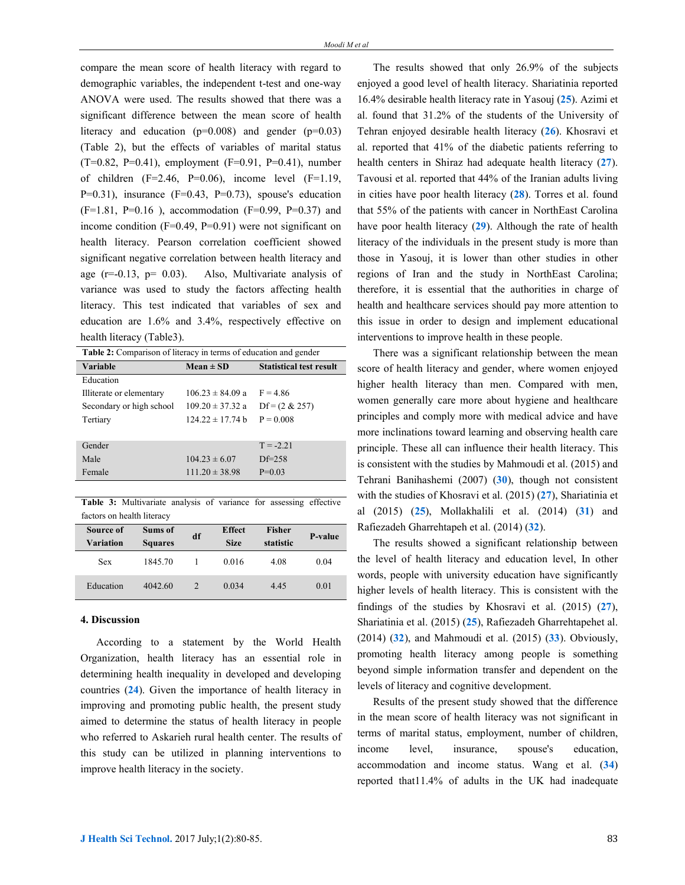compare the mean score of health literacy with regard to demographic variables, the independent t-test and one-way ANOVA were used. The results showed that there was a significant difference between the mean score of health literacy and education  $(p=0.008)$  and gender  $(p=0.03)$ (Table 2), but the effects of variables of marital status  $(T=0.82, P=0.41)$ , employment  $(F=0.91, P=0.41)$ , number of children  $(F=2.46, P=0.06)$ , income level  $(F=1.19, P=0.06)$  $P=0.31$ ), insurance (F=0.43, P=0.73), spouse's education  $(F=1.81, P=0.16)$ , accommodation  $(F=0.99, P=0.37)$  and income condition (F=0.49, P=0.91) were not significant on health literacy. Pearson correlation coefficient showed significant negative correlation between health literacy and age  $(r=-0.13, p= 0.03)$ . Also, Multivariate analysis of variance was used to study the factors affecting health literacy. This test indicated that variables of sex and education are 1.6% and 3.4%, respectively effective on health literacy (Table3).

| Table 2: Comparison of literacy in terms of education and gender |                      |                                |  |  |  |
|------------------------------------------------------------------|----------------------|--------------------------------|--|--|--|
| <b>Variable</b>                                                  | $Mean \pm SD$        | <b>Statistical test result</b> |  |  |  |
| Education                                                        |                      |                                |  |  |  |
| Illiterate or elementary                                         | $106.23 \pm 84.09$ a | $F = 4.86$                     |  |  |  |
| Secondary or high school                                         | $109.20 \pm 37.32$ a | $Df = (2 \& 257)$              |  |  |  |
| Tertiary                                                         | $12422 \pm 1774$ h   | $P = 0.008$                    |  |  |  |
|                                                                  |                      |                                |  |  |  |
| Gender                                                           |                      | $T = -2.21$                    |  |  |  |
| Male                                                             | $104.23 \pm 6.07$    | $DF = 258$                     |  |  |  |
| Female                                                           | $111.20 \pm 38.98$   | $P=0.03$                       |  |  |  |
|                                                                  |                      |                                |  |  |  |

**Table 3:** Multivariate analysis of variance for assessing effective factors on health literacy

| Source of<br><b>Variation</b> | Sums of<br><b>Squares</b> | df            | <b>Effect</b><br><b>Size</b> | <b>Fisher</b><br>statistic | P-value |
|-------------------------------|---------------------------|---------------|------------------------------|----------------------------|---------|
| Sex                           | 1845.70                   |               | 0.016                        | 4.08                       | 0.04    |
| Education                     | 4042.60                   | $\mathcal{D}$ | 0.034                        | 4.45                       | 0.01    |

## **4. Discussion**

According to a statement by the World Health Organization, health literacy has an essential role in determining health inequality in developed and developing countries (**24**). Given the importance of health literacy in improving and promoting public health, the present study aimed to determine the status of health literacy in people who referred to Askarieh rural health center. The results of this study can be utilized in planning interventions to improve health literacy in the society.

The results showed that only 26.9% of the subjects enjoyed a good level of health literacy. Shariatinia reported 16.4% desirable health literacy rate in Yasouj (**25**). Azimi et al. found that 31.2% of the students of the University of Tehran enjoyed desirable health literacy (**26**). Khosravi et al. reported that 41% of the diabetic patients referring to health centers in Shiraz had adequate health literacy (**27**). Tavousi et al. reported that 44% of the Iranian adults living in cities have poor health literacy (**28**). Torres et al. found that 55% of the patients with cancer in NorthEast Carolina have poor health literacy (**29**). Although the rate of health literacy of the individuals in the present study is more than those in Yasouj, it is lower than other studies in other regions of Iran and the study in NorthEast Carolina; therefore, it is essential that the authorities in charge of health and healthcare services should pay more attention to this issue in order to design and implement educational interventions to improve health in these people.

There was a significant relationship between the mean score of health literacy and gender, where women enjoyed higher health literacy than men. Compared with men, women generally care more about hygiene and healthcare principles and comply more with medical advice and have more inclinations toward learning and observing health care principle. These all can influence their health literacy. This is consistent with the studies by Mahmoudi et al. (2015) and Tehrani Banihashemi (2007) (**30**), though not consistent with the studies of Khosravi et al. (2015) (**27**), Shariatinia et al (2015) (**25**), Mollakhalili et al. (2014) (**31**) and Rafiezadeh Gharrehtapeh et al. (2014) (**32**).

The results showed a significant relationship between the level of health literacy and education level, In other words, people with university education have significantly higher levels of health literacy. This is consistent with the findings of the studies by Khosravi et al. (2015) (**27**), Shariatinia et al. (2015) (**25**), Rafiezadeh Gharrehtapehet al. (2014) (**32**), and Mahmoudi et al. (2015) (**33**). Obviously, promoting health literacy among people is something beyond simple information transfer and dependent on the levels of literacy and cognitive development.

Results of the present study showed that the difference in the mean score of health literacy was not significant in terms of marital status, employment, number of children, income level, insurance, spouse's education, accommodation and income status. Wang et al. (**34**) reported that11.4% of adults in the UK had inadequate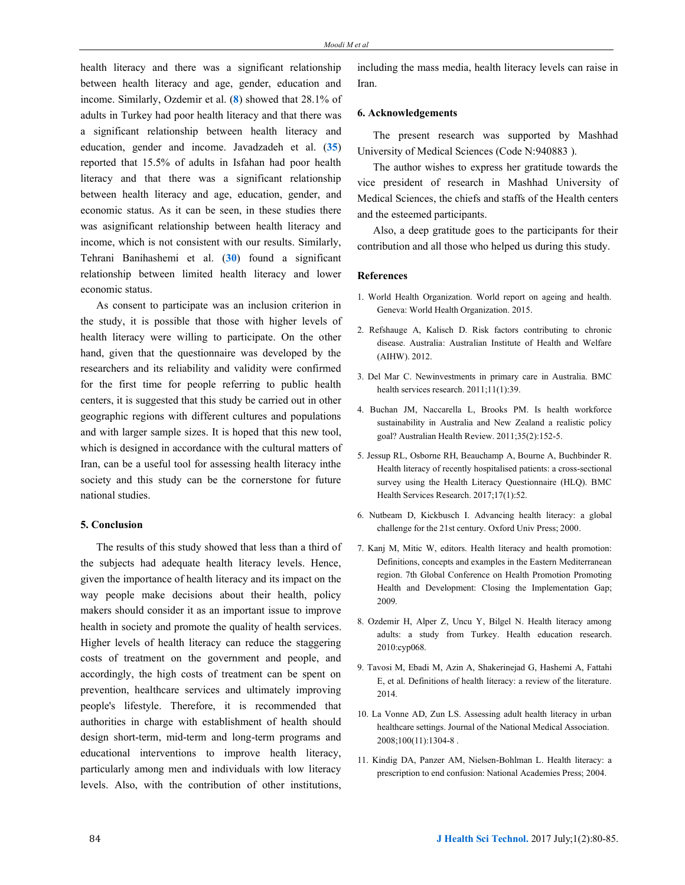health literacy and there was a significant relationship between health literacy and age, gender, education and income. Similarly, Ozdemir et al. (**8**) showed that 28.1% of adults in Turkey had poor health literacy and that there was a significant relationship between health literacy and education, gender and income. Javadzadeh et al. (**35**) reported that 15.5% of adults in Isfahan had poor health literacy and that there was a significant relationship between health literacy and age, education, gender, and economic status. As it can be seen, in these studies there was asignificant relationship between health literacy and income, which is not consistent with our results. Similarly, Tehrani Banihashemi et al. (**30**) found a significant relationship between limited health literacy and lower economic status.

As consent to participate was an inclusion criterion in the study, it is possible that those with higher levels of health literacy were willing to participate. On the other hand, given that the questionnaire was developed by the researchers and its reliability and validity were confirmed for the first time for people referring to public health centers, it is suggested that this study be carried out in other geographic regions with different cultures and populations and with larger sample sizes. It is hoped that this new tool, which is designed in accordance with the cultural matters of Iran, can be a useful tool for assessing health literacy inthe society and this study can be the cornerstone for future national studies.

## **5. Conclusion**

The results of this study showed that less than a third of the subjects had adequate health literacy levels. Hence, given the importance of health literacy and its impact on the way people make decisions about their health, policy makers should consider it as an important issue to improve health in society and promote the quality of health services. Higher levels of health literacy can reduce the staggering costs of treatment on the government and people, and accordingly, the high costs of treatment can be spent on prevention, healthcare services and ultimately improving people's lifestyle. Therefore, it is recommended that authorities in charge with establishment of health should design short-term, mid-term and long-term programs and educational interventions to improve health literacy, particularly among men and individuals with low literacy levels. Also, with the contribution of other institutions, including the mass media, health literacy levels can raise in Iran.

#### **6. Acknowledgements**

The present research was supported by Mashhad University of Medical Sciences (Code N:940883 ).

The author wishes to express her gratitude towards the vice president of research in Mashhad University of Medical Sciences, the chiefs and staffs of the Health centers and the esteemed participants.

Also, a deep gratitude goes to the participants for their contribution and all those who helped us during this study.

## **References**

- 1. World Health Organization. World report on ageing and health. Geneva: World Health Organization. 2015.
- 2. Refshauge A, Kalisch D. Risk factors contributing to chronic disease. Australia: Australian Institute of Health and Welfare (AIHW). 2012.
- 3. Del Mar C. Newinvestments in primary care in Australia. BMC health services research. 2011;11(1):39.
- 4. Buchan JM, Naccarella L, Brooks PM. Is health workforce sustainability in Australia and New Zealand a realistic policy goal? Australian Health Review. 2011;35(2):152-5.
- 5. Jessup RL, Osborne RH, Beauchamp A, Bourne A, Buchbinder R. Health literacy of recently hospitalised patients: a cross-sectional survey using the Health Literacy Questionnaire (HLQ). BMC Health Services Research. 2017;17(1):52.
- 6. Nutbeam D, Kickbusch I. Advancing health literacy: a global challenge for the 21st century. Oxford Univ Press; 2000.
- 7. Kanj M, Mitic W, editors. Health literacy and health promotion: Definitions, concepts and examples in the Eastern Mediterranean region. 7th Global Conference on Health Promotion Promoting Health and Development: Closing the Implementation Gap; 2009.
- 8. Ozdemir H, Alper Z, Uncu Y, Bilgel N. Health literacy among adults: a study from Turkey. Health education research. 2010:cyp068.
- 9. Tavosi M, Ebadi M, Azin A, Shakerinejad G, Hashemi A, Fattahi E, et al. Definitions of health literacy: a review of the literature. 2014.
- 10. La Vonne AD, Zun LS. Assessing adult health literacy in urban healthcare settings. Journal of the National Medical Association. 2008;100(11):1304-8 .
- 11. Kindig DA, Panzer AM, Nielsen-Bohlman L. Health literacy: a prescription to end confusion: National Academies Press; 2004.